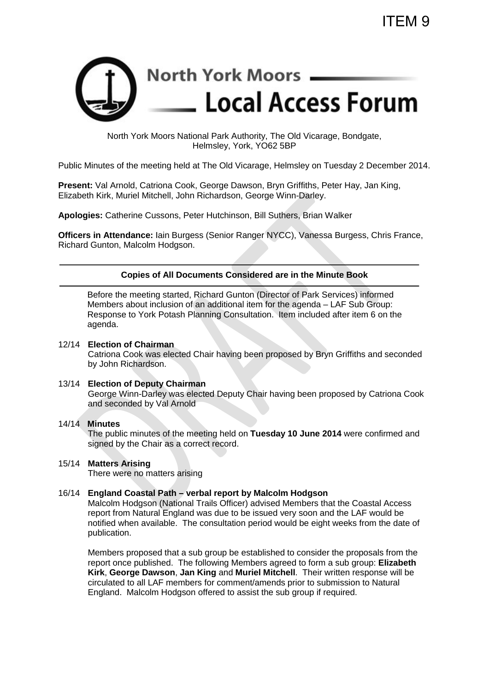

North York Moors National Park Authority, The Old Vicarage, Bondgate, Helmsley, York, YO62 5BP

Public Minutes of the meeting held at The Old Vicarage, Helmsley on Tuesday 2 December 2014.

**Present:** Val Arnold, Catriona Cook, George Dawson, Bryn Griffiths, Peter Hay, Jan King, Elizabeth Kirk, Muriel Mitchell, John Richardson, George Winn-Darley.

**Apologies:** Catherine Cussons, Peter Hutchinson, Bill Suthers, Brian Walker

**Officers in Attendance:** Iain Burgess (Senior Ranger NYCC), Vanessa Burgess, Chris France, Richard Gunton, Malcolm Hodgson.

## **Copies of All Documents Considered are in the Minute Book**

Before the meeting started, Richard Gunton (Director of Park Services) informed Members about inclusion of an additional item for the agenda – LAF Sub Group: Response to York Potash Planning Consultation. Item included after item 6 on the agenda.

#### 12/14 **Election of Chairman**

Catriona Cook was elected Chair having been proposed by Bryn Griffiths and seconded by John Richardson.

### 13/14 **Election of Deputy Chairman**

George Winn-Darley was elected Deputy Chair having been proposed by Catriona Cook and seconded by Val Arnold

#### 14/14 **Minutes**

The public minutes of the meeting held on **Tuesday 10 June 2014** were confirmed and signed by the Chair as a correct record.

## 15/14 **Matters Arising**

There were no matters arising

#### 16/14 **England Coastal Path – verbal report by Malcolm Hodgson**

Malcolm Hodgson (National Trails Officer) advised Members that the Coastal Access report from Natural England was due to be issued very soon and the LAF would be notified when available. The consultation period would be eight weeks from the date of publication.

Members proposed that a sub group be established to consider the proposals from the report once published. The following Members agreed to form a sub group: **Elizabeth Kirk**, **George Dawson**, **Jan King** and **Muriel Mitchell**. Their written response will be circulated to all LAF members for comment/amends prior to submission to Natural England. Malcolm Hodgson offered to assist the sub group if required.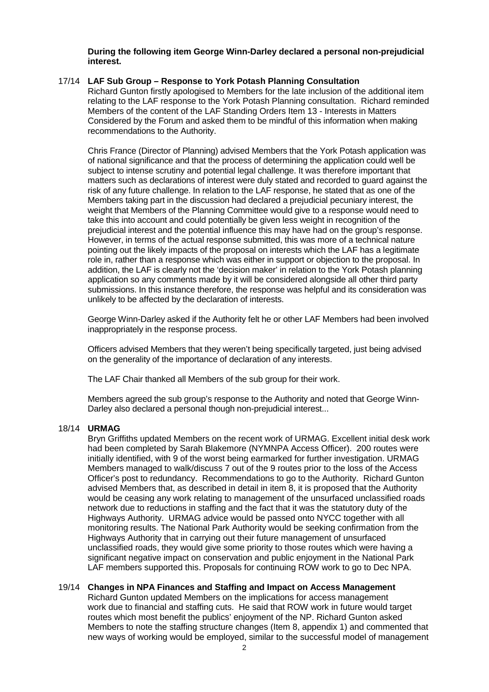**During the following item George Winn-Darley declared a personal non-prejudicial interest.**

## 17/14 **LAF Sub Group – Response to York Potash Planning Consultation**

Richard Gunton firstly apologised to Members for the late inclusion of the additional item relating to the LAF response to the York Potash Planning consultation. Richard reminded Members of the content of the LAF Standing Orders Item 13 - Interests in Matters Considered by the Forum and asked them to be mindful of this information when making recommendations to the Authority.

Chris France (Director of Planning) advised Members that the York Potash application was of national significance and that the process of determining the application could well be subject to intense scrutiny and potential legal challenge. It was therefore important that matters such as declarations of interest were duly stated and recorded to guard against the risk of any future challenge. In relation to the LAF response, he stated that as one of the Members taking part in the discussion had declared a prejudicial pecuniary interest, the weight that Members of the Planning Committee would give to a response would need to take this into account and could potentially be given less weight in recognition of the prejudicial interest and the potential influence this may have had on the group's response. However, in terms of the actual response submitted, this was more of a technical nature pointing out the likely impacts of the proposal on interests which the LAF has a legitimate role in, rather than a response which was either in support or objection to the proposal. In addition, the LAF is clearly not the 'decision maker' in relation to the York Potash planning application so any comments made by it will be considered alongside all other third party submissions. In this instance therefore, the response was helpful and its consideration was unlikely to be affected by the declaration of interests.

George Winn-Darley asked if the Authority felt he or other LAF Members had been involved inappropriately in the response process.

Officers advised Members that they weren't being specifically targeted, just being advised on the generality of the importance of declaration of any interests.

The LAF Chair thanked all Members of the sub group for their work.

Members agreed the sub group's response to the Authority and noted that George Winn-Darley also declared a personal though non-prejudicial interest...

# 18/14 **URMAG**

Bryn Griffiths updated Members on the recent work of URMAG. Excellent initial desk work had been completed by Sarah Blakemore (NYMNPA Access Officer). 200 routes were initially identified, with 9 of the worst being earmarked for further investigation. URMAG Members managed to walk/discuss 7 out of the 9 routes prior to the loss of the Access Officer's post to redundancy. Recommendations to go to the Authority. Richard Gunton advised Members that, as described in detail in item 8, it is proposed that the Authority would be ceasing any work relating to management of the unsurfaced unclassified roads network due to reductions in staffing and the fact that it was the statutory duty of the Highways Authority. URMAG advice would be passed onto NYCC together with all monitoring results. The National Park Authority would be seeking confirmation from the Highways Authority that in carrying out their future management of unsurfaced unclassified roads, they would give some priority to those routes which were having a significant negative impact on conservation and public enjoyment in the National Park LAF members supported this. Proposals for continuing ROW work to go to Dec NPA.

### 19/14 **Changes in NPA Finances and Staffing and Impact on Access Management**

Richard Gunton updated Members on the implications for access management work due to financial and staffing cuts. He said that ROW work in future would target routes which most benefit the publics' enjoyment of the NP. Richard Gunton asked Members to note the staffing structure changes (Item 8, appendix 1) and commented that new ways of working would be employed, similar to the successful model of management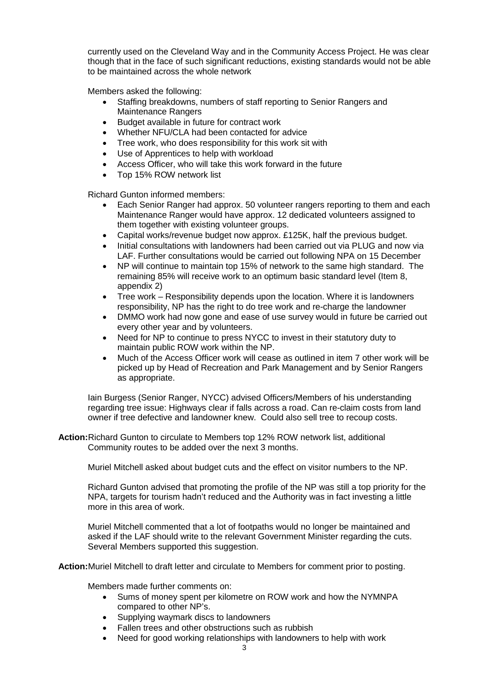currently used on the Cleveland Way and in the Community Access Project. He was clear though that in the face of such significant reductions, existing standards would not be able to be maintained across the whole network

Members asked the following:

- Staffing breakdowns, numbers of staff reporting to Senior Rangers and Maintenance Rangers
- Budget available in future for contract work
- Whether NFU/CLA had been contacted for advice
- Tree work, who does responsibility for this work sit with
- Use of Apprentices to help with workload
- Access Officer, who will take this work forward in the future
- Top 15% ROW network list

Richard Gunton informed members:

- Each Senior Ranger had approx. 50 volunteer rangers reporting to them and each Maintenance Ranger would have approx. 12 dedicated volunteers assigned to them together with existing volunteer groups.
- Capital works/revenue budget now approx. £125K, half the previous budget.
- Initial consultations with landowners had been carried out via PLUG and now via LAF. Further consultations would be carried out following NPA on 15 December
- NP will continue to maintain top 15% of network to the same high standard. The remaining 85% will receive work to an optimum basic standard level (Item 8, appendix 2)
- Tree work Responsibility depends upon the location. Where it is landowners responsibility, NP has the right to do tree work and re-charge the landowner
- DMMO work had now gone and ease of use survey would in future be carried out every other year and by volunteers.
- Need for NP to continue to press NYCC to invest in their statutory duty to maintain public ROW work within the NP.
- Much of the Access Officer work will cease as outlined in item 7 other work will be picked up by Head of Recreation and Park Management and by Senior Rangers as appropriate.

Iain Burgess (Senior Ranger, NYCC) advised Officers/Members of his understanding regarding tree issue: Highways clear if falls across a road. Can re-claim costs from land owner if tree defective and landowner knew. Could also sell tree to recoup costs.

**Action:**Richard Gunton to circulate to Members top 12% ROW network list, additional Community routes to be added over the next 3 months.

Muriel Mitchell asked about budget cuts and the effect on visitor numbers to the NP.

Richard Gunton advised that promoting the profile of the NP was still a top priority for the NPA, targets for tourism hadn't reduced and the Authority was in fact investing a little more in this area of work.

Muriel Mitchell commented that a lot of footpaths would no longer be maintained and asked if the LAF should write to the relevant Government Minister regarding the cuts. Several Members supported this suggestion.

**Action:**Muriel Mitchell to draft letter and circulate to Members for comment prior to posting.

Members made further comments on:

- Sums of money spent per kilometre on ROW work and how the NYMNPA compared to other NP's.
- Supplying waymark discs to landowners
- Fallen trees and other obstructions such as rubbish
- Need for good working relationships with landowners to help with work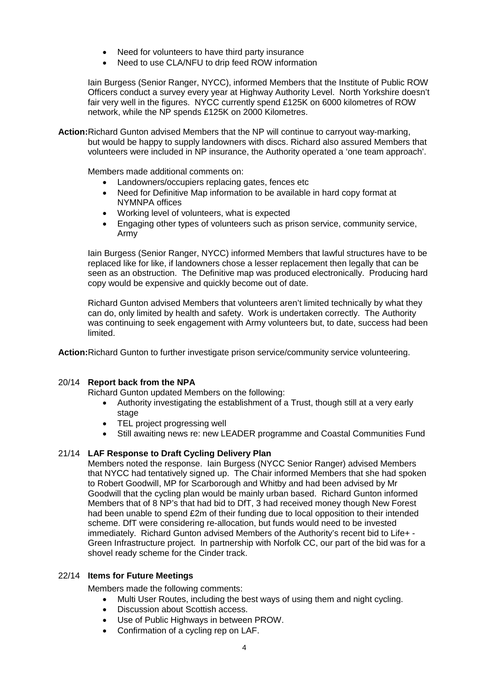- Need for volunteers to have third party insurance
- Need to use CLA/NFU to drip feed ROW information

Iain Burgess (Senior Ranger, NYCC), informed Members that the Institute of Public ROW Officers conduct a survey every year at Highway Authority Level. North Yorkshire doesn't fair very well in the figures. NYCC currently spend £125K on 6000 kilometres of ROW network, while the NP spends £125K on 2000 Kilometres.

**Action:**Richard Gunton advised Members that the NP will continue to carryout way-marking, but would be happy to supply landowners with discs. Richard also assured Members that volunteers were included in NP insurance, the Authority operated a 'one team approach'.

Members made additional comments on:

- Landowners/occupiers replacing gates, fences etc
- Need for Definitive Map information to be available in hard copy format at NYMNPA offices
- Working level of volunteers, what is expected
- Engaging other types of volunteers such as prison service, community service, Army

Iain Burgess (Senior Ranger, NYCC) informed Members that lawful structures have to be replaced like for like, if landowners chose a lesser replacement then legally that can be seen as an obstruction. The Definitive map was produced electronically. Producing hard copy would be expensive and quickly become out of date.

Richard Gunton advised Members that volunteers aren't limited technically by what they can do, only limited by health and safety. Work is undertaken correctly. The Authority was continuing to seek engagement with Army volunteers but, to date, success had been limited.

**Action:**Richard Gunton to further investigate prison service/community service volunteering.

# 20/14 **Report back from the NPA**

Richard Gunton updated Members on the following:

- Authority investigating the establishment of a Trust, though still at a very early stage
- TEL project progressing well
- Still awaiting news re: new LEADER programme and Coastal Communities Fund

# 21/14 **LAF Response to Draft Cycling Delivery Plan**

Members noted the response. Iain Burgess (NYCC Senior Ranger) advised Members that NYCC had tentatively signed up. The Chair informed Members that she had spoken to Robert Goodwill, MP for Scarborough and Whitby and had been advised by Mr Goodwill that the cycling plan would be mainly urban based. Richard Gunton informed Members that of 8 NP's that had bid to DfT, 3 had received money though New Forest had been unable to spend £2m of their funding due to local opposition to their intended scheme. DfT were considering re-allocation, but funds would need to be invested immediately. Richard Gunton advised Members of the Authority's recent bid to Life+ - Green Infrastructure project. In partnership with Norfolk CC, our part of the bid was for a shovel ready scheme for the Cinder track.

### 22/14 **Items for Future Meetings**

Members made the following comments:

- Multi User Routes, including the best ways of using them and night cycling.
- Discussion about Scottish access.
- Use of Public Highways in between PROW.
- Confirmation of a cycling rep on LAF.